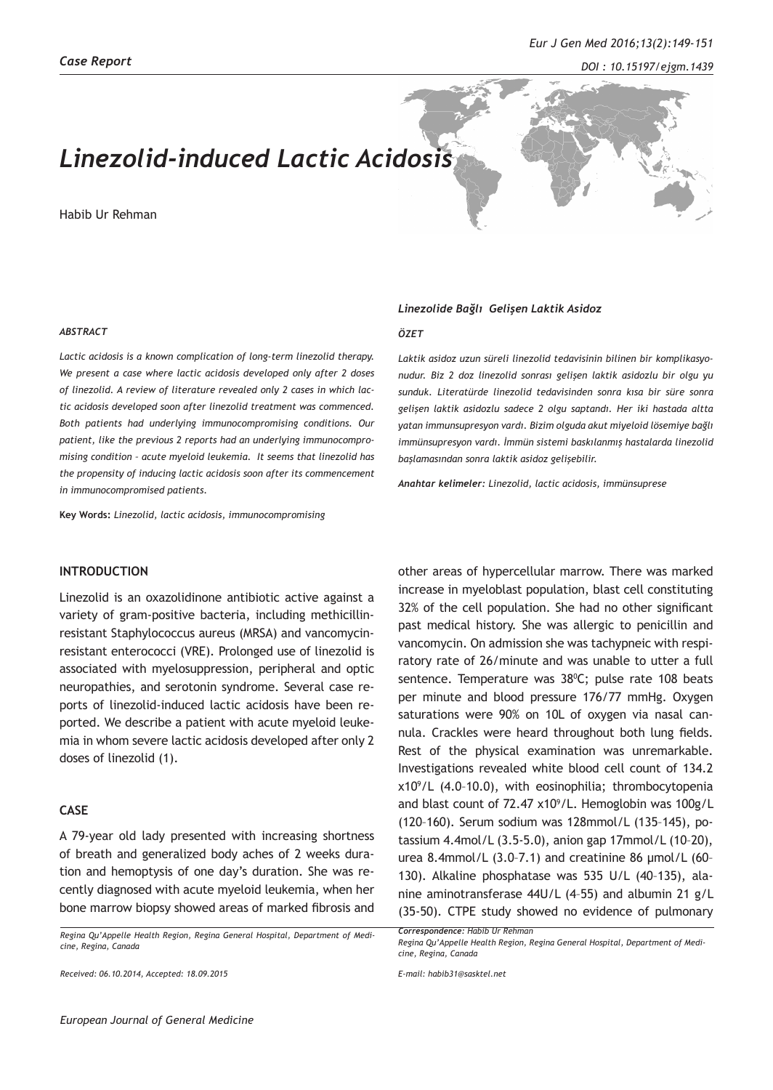# *Linezolid-induced Lactic Acidosis*

Habib Ur Rehman



#### *ABSTRACT*

*Lactic acidosis is a known complication of long-term linezolid therapy. We present a case where lactic acidosis developed only after 2 doses of linezolid. A review of literature revealed only 2 cases in which lactic acidosis developed soon after linezolid treatment was commenced. Both patients had underlying immunocompromising conditions. Our patient, like the previous 2 reports had an underlying immunocompromising condition – acute myeloid leukemia. It seems that linezolid has the propensity of inducing lactic acidosis soon after its commencement in immunocompromised patients.* 

**Key Words:** *Linezolid, lactic acidosis, immunocompromising*

## **INTRODUCTION**

Linezolid is an oxazolidinone antibiotic active against a variety of gram-positive bacteria, including methicillinresistant Staphylococcus aureus (MRSA) and vancomycinresistant enterococci (VRE). Prolonged use of linezolid is associated with myelosuppression, peripheral and optic neuropathies, and serotonin syndrome. Several case reports of linezolid-induced lactic acidosis have been reported. We describe a patient with acute myeloid leukemia in whom severe lactic acidosis developed after only 2 doses of linezolid (1).

## **CASE**

A 79-year old lady presented with increasing shortness of breath and generalized body aches of 2 weeks duration and hemoptysis of one day's duration. She was recently diagnosed with acute myeloid leukemia, when her bone marrow biopsy showed areas of marked fibrosis and

*Regina Qu'Appelle Health Region, Regina General Hospital, Department of Medicine, Regina, Canada*

*Received: 06.10.2014, Accepted: 18.09.2015*

#### *Linezolide Bağlı Gelişen Laktik Asidoz*

#### *ÖZET*

*Laktik asidoz uzun süreli linezolid tedavisinin bilinen bir komplikasyonudur. Biz 2 doz linezolid sonrası gelişen laktik asidozlu bir olgu yu sunduk. Literatürde linezolid tedavisinden sonra kısa bir süre sonra gelişen laktik asidozlu sadece 2 olgu saptandı. Her iki hastada altta yatan immunsupresyon vardı. Bizim olguda akut miyeloid lösemiye bağlı immünsupresyon vardı. İmmün sistemi baskılanmış hastalarda linezolid başlamasından sonra laktik asidoz gelişebilir.*

*Anahtar kelimeler: Linezolid, lactic acidosis, immünsuprese*

other areas of hypercellular marrow. There was marked increase in myeloblast population, blast cell constituting 32% of the cell population. She had no other significant past medical history. She was allergic to penicillin and vancomycin. On admission she was tachypneic with respiratory rate of 26/minute and was unable to utter a full sentence. Temperature was 38°C; pulse rate 108 beats per minute and blood pressure 176/77 mmHg. Oxygen saturations were 90% on 10L of oxygen via nasal cannula. Crackles were heard throughout both lung fields. Rest of the physical examination was unremarkable. Investigations revealed white blood cell count of 134.2 x109 /L (4.0–10.0), with eosinophilia; thrombocytopenia and blast count of  $72.47 \times 10^9$ /L. Hemoglobin was  $100g/L$ (120–160). Serum sodium was 128mmol/L (135–145), potassium 4.4mol/L (3.5-5.0), anion gap 17mmol/L (10–20), urea 8.4mmol/L (3.0–7.1) and creatinine 86 µmol/L (60– 130). Alkaline phosphatase was 535 U/L (40–135), alanine aminotransferase 44U/L (4–55) and albumin 21 g/L (35-50). CTPE study showed no evidence of pulmonary

*Correspondence: Habib Ur Rehman* 

*Regina Qu'Appelle Health Region, Regina General Hospital, Department of Medicine, Regina, Canada* 

*E-mail: habib31@sasktel.net*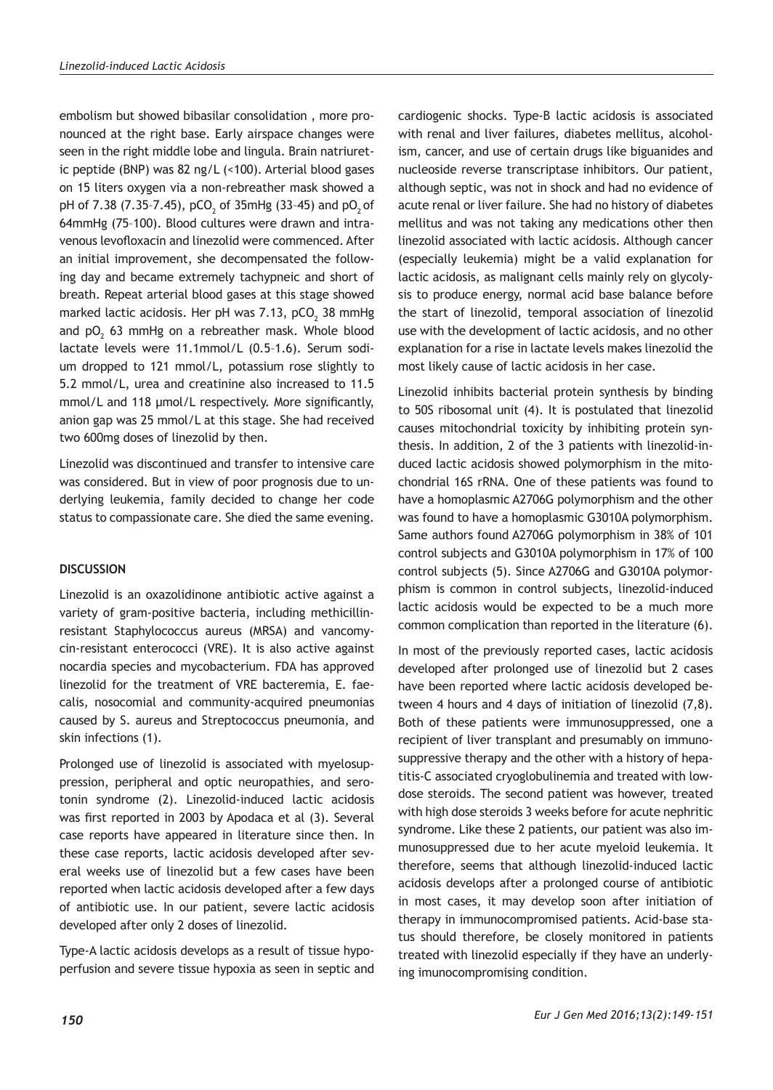embolism but showed bibasilar consolidation , more pronounced at the right base. Early airspace changes were seen in the right middle lobe and lingula. Brain natriuretic peptide (BNP) was 82 ng/L (<100). Arterial blood gases on 15 liters oxygen via a non-rebreather mask showed a pH of 7.38 (7.35-7.45), pCO<sub>2</sub> of 35mHg (33-45) and pO<sub>2</sub> of 64mmHg (75–100). Blood cultures were drawn and intravenous levofloxacin and linezolid were commenced. After an initial improvement, she decompensated the following day and became extremely tachypneic and short of breath. Repeat arterial blood gases at this stage showed marked lactic acidosis. Her pH was 7.13, pCO $_{\rm _2}$  38 mmHg and  $pO_2$  63 mmHg on a rebreather mask. Whole blood lactate levels were 11.1mmol/L (0.5–1.6). Serum sodium dropped to 121 mmol/L, potassium rose slightly to 5.2 mmol/L, urea and creatinine also increased to 11.5 mmol/L and 118 µmol/L respectively. More significantly, anion gap was 25 mmol/L at this stage. She had received two 600mg doses of linezolid by then.

Linezolid was discontinued and transfer to intensive care was considered. But in view of poor prognosis due to underlying leukemia, family decided to change her code status to compassionate care. She died the same evening.

## **DISCUSSION**

Linezolid is an oxazolidinone antibiotic active against a variety of gram-positive bacteria, including methicillinresistant Staphylococcus aureus (MRSA) and vancomycin-resistant enterococci (VRE). It is also active against nocardia species and mycobacterium. FDA has approved linezolid for the treatment of VRE bacteremia, E. faecalis, nosocomial and community-acquired pneumonias caused by S. aureus and Streptococcus pneumonia, and skin infections (1).

Prolonged use of linezolid is associated with myelosuppression, peripheral and optic neuropathies, and serotonin syndrome (2). Linezolid-induced lactic acidosis was first reported in 2003 by Apodaca et al (3). Several case reports have appeared in literature since then. In these case reports, lactic acidosis developed after several weeks use of linezolid but a few cases have been reported when lactic acidosis developed after a few days of antibiotic use. In our patient, severe lactic acidosis developed after only 2 doses of linezolid.

Type-A lactic acidosis develops as a result of tissue hypoperfusion and severe tissue hypoxia as seen in septic and cardiogenic shocks. Type-B lactic acidosis is associated with renal and liver failures, diabetes mellitus, alcoholism, cancer, and use of certain drugs like biguanides and nucleoside reverse transcriptase inhibitors. Our patient, although septic, was not in shock and had no evidence of acute renal or liver failure. She had no history of diabetes mellitus and was not taking any medications other then linezolid associated with lactic acidosis. Although cancer (especially leukemia) might be a valid explanation for lactic acidosis, as malignant cells mainly rely on glycolysis to produce energy, normal acid base balance before the start of linezolid, temporal association of linezolid use with the development of lactic acidosis, and no other explanation for a rise in lactate levels makes linezolid the most likely cause of lactic acidosis in her case.

Linezolid inhibits bacterial protein synthesis by binding to 50S ribosomal unit (4). It is postulated that linezolid causes mitochondrial toxicity by inhibiting protein synthesis. In addition, 2 of the 3 patients with linezolid-induced lactic acidosis showed polymorphism in the mitochondrial 16S rRNA. One of these patients was found to have a homoplasmic A2706G polymorphism and the other was found to have a homoplasmic G3010A polymorphism. Same authors found A2706G polymorphism in 38% of 101 control subjects and G3010A polymorphism in 17% of 100 control subjects (5). Since A2706G and G3010A polymorphism is common in control subjects, linezolid-induced lactic acidosis would be expected to be a much more common complication than reported in the literature (6).

In most of the previously reported cases, lactic acidosis developed after prolonged use of linezolid but 2 cases have been reported where lactic acidosis developed between 4 hours and 4 days of initiation of linezolid (7,8). Both of these patients were immunosuppressed, one a recipient of liver transplant and presumably on immunosuppressive therapy and the other with a history of hepatitis-C associated cryoglobulinemia and treated with lowdose steroids. The second patient was however, treated with high dose steroids 3 weeks before for acute nephritic syndrome. Like these 2 patients, our patient was also immunosuppressed due to her acute myeloid leukemia. It therefore, seems that although linezolid-induced lactic acidosis develops after a prolonged course of antibiotic in most cases, it may develop soon after initiation of therapy in immunocompromised patients. Acid-base status should therefore, be closely monitored in patients treated with linezolid especially if they have an underlying imunocompromising condition.